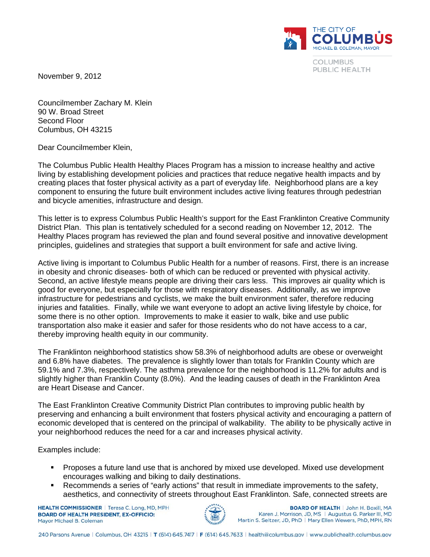THE CITY OF **COLUM** MICHAEL B. COLEMAN, MAYOR

> **COLUMBUS** PUBLIC HEALTH

November 9, 2012

Councilmember Zachary M. Klein 90 W. Broad Street Second Floor Columbus, OH 43215

Dear Councilmember Klein,

The Columbus Public Health Healthy Places Program has a mission to increase healthy and active living by establishing development policies and practices that reduce negative health impacts and by creating places that foster physical activity as a part of everyday life. Neighborhood plans are a key component to ensuring the future built environment includes active living features through pedestrian and bicycle amenities, infrastructure and design.

This letter is to express Columbus Public Health's support for the East Franklinton Creative Community District Plan. This plan is tentatively scheduled for a second reading on November 12, 2012. The Healthy Places program has reviewed the plan and found several positive and innovative development principles, guidelines and strategies that support a built environment for safe and active living.

Active living is important to Columbus Public Health for a number of reasons. First, there is an increase in obesity and chronic diseases- both of which can be reduced or prevented with physical activity. Second, an active lifestyle means people are driving their cars less. This improves air quality which is good for everyone, but especially for those with respiratory diseases. Additionally, as we improve infrastructure for pedestrians and cyclists, we make the built environment safer, therefore reducing injuries and fatalities. Finally, while we want everyone to adopt an active living lifestyle by choice, for some there is no other option. Improvements to make it easier to walk, bike and use public transportation also make it easier and safer for those residents who do not have access to a car, thereby improving health equity in our community.

The Franklinton neighborhood statistics show 58.3% of neighborhood adults are obese or overweight and 6.8% have diabetes. The prevalence is slightly lower than totals for Franklin County which are 59.1% and 7.3%, respectively. The asthma prevalence for the neighborhood is 11.2% for adults and is slightly higher than Franklin County (8.0%). And the leading causes of death in the Franklinton Area are Heart Disease and Cancer.

The East Franklinton Creative Community District Plan contributes to improving public health by preserving and enhancing a built environment that fosters physical activity and encouraging a pattern of economic developed that is centered on the principal of walkability. The ability to be physically active in your neighborhood reduces the need for a car and increases physical activity.

Examples include:

- Proposes a future land use that is anchored by mixed use developed. Mixed use development encourages walking and biking to daily destinations.
- Recommends a series of "early actions" that result in immediate improvements to the safety, aesthetics, and connectivity of streets throughout East Franklinton. Safe, connected streets are

**HEALTH COMMISSIONER** | Teresa C. Long, MD, MPH **BOARD OF HEALTH PRESIDENT, EX-OFFICIO:** Mayor Michael B, Coleman



**BOARD OF HEALTH | John H. Boxill, MA** Karen J. Morrison, JD, MS | Augustus G. Parker III, MD Martin S. Seltzer, JD, PhD | Mary Ellen Wewers, PhD, MPH, RN